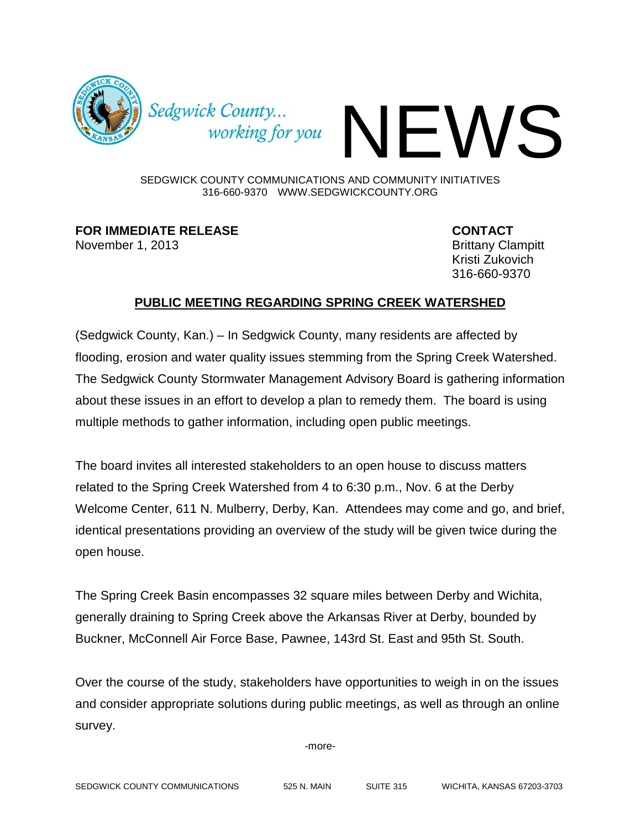

Sedgwick County...<br>working for you

SEDGWICK COUNTY COMMUNICATIONS AND COMMUNITY INITIATIVES 316-660-9370 WWW.SEDGWICKCOUNTY.ORG

**FOR IMMEDIATE RELEASE CONTACT** 

November 1, 2013 **Brittany Clampitt** Kristi Zukovich 316-660-9370

## **PUBLIC MEETING REGARDING SPRING CREEK WATERSHED**

(Sedgwick County, Kan.) – In Sedgwick County, many residents are affected by flooding, erosion and water quality issues stemming from the Spring Creek Watershed. The Sedgwick County Stormwater Management Advisory Board is gathering information about these issues in an effort to develop a plan to remedy them. The board is using multiple methods to gather information, including open public meetings.

The board invites all interested stakeholders to an open house to discuss matters related to the Spring Creek Watershed from 4 to 6:30 p.m., Nov. 6 at the Derby Welcome Center, 611 N. Mulberry, Derby, Kan. Attendees may come and go, and brief, identical presentations providing an overview of the study will be given twice during the open house.

The Spring Creek Basin encompasses 32 square miles between Derby and Wichita, generally draining to Spring Creek above the Arkansas River at Derby, bounded by Buckner, McConnell Air Force Base, Pawnee, 143rd St. East and 95th St. South.

Over the course of the study, stakeholders have opportunities to weigh in on the issues and consider appropriate solutions during public meetings, as well as through an online survey.

-more-